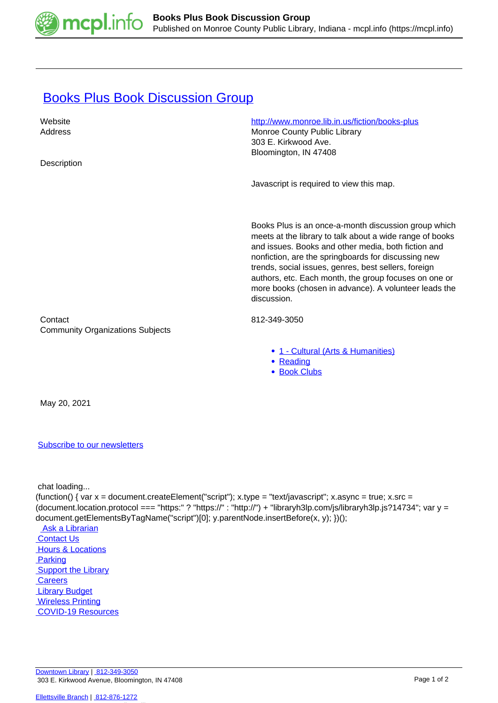

## **[Books Plus Book Discussion Group](https://mcpl.info/commorg/books-plus-book-discussion-group)**

| Website                                            | http://www.monroe.lib.in.us/fiction/books-plus                                                                                                                                                                                                                                                                                                                                                                          |
|----------------------------------------------------|-------------------------------------------------------------------------------------------------------------------------------------------------------------------------------------------------------------------------------------------------------------------------------------------------------------------------------------------------------------------------------------------------------------------------|
| Address                                            | Monroe County Public Library                                                                                                                                                                                                                                                                                                                                                                                            |
|                                                    | 303 E. Kirkwood Ave.                                                                                                                                                                                                                                                                                                                                                                                                    |
|                                                    | Bloomington, IN 47408                                                                                                                                                                                                                                                                                                                                                                                                   |
| Description                                        |                                                                                                                                                                                                                                                                                                                                                                                                                         |
|                                                    | Javascript is required to view this map.                                                                                                                                                                                                                                                                                                                                                                                |
|                                                    | Books Plus is an once-a-month discussion group which<br>meets at the library to talk about a wide range of books<br>and issues. Books and other media, both fiction and<br>nonfiction, are the springboards for discussing new<br>trends, social issues, genres, best sellers, foreign<br>authors, etc. Each month, the group focuses on one or<br>more books (chosen in advance). A volunteer leads the<br>discussion. |
| Contact<br><b>Community Organizations Subjects</b> | 812-349-3050                                                                                                                                                                                                                                                                                                                                                                                                            |
|                                                    | • 1 - Cultural (Arts & Humanities)<br>• Reading<br>• Book Clubs                                                                                                                                                                                                                                                                                                                                                         |
| May 20, 2021                                       |                                                                                                                                                                                                                                                                                                                                                                                                                         |

## [Subscribe to our newsletters](https://mcpl.info/geninfo/subscribe-think-library-newsletter)

chat loading...

(function() { var  $x =$  document.createElement("script");  $x.$ type = "text/javascript";  $x.$ async = true;  $x.$ src = (document.location.protocol === "https:" ? "https://" : "http://") + "libraryh3lp.com/js/libraryh3lp.js?14734"; var y = document.getElementsByTagName("script")[0]; y.parentNode.insertBefore(x, y); })();

 [Ask a Librarian](https://mcpl.info/askus)  [Contact Us](https://mcpl.info/geninfo/contact-us) **Hours & Locations Parking Support the Library Careers**  [Library Budget](https://budgetnotices.in.gov/unit_lookup.aspx?ct=53000)  [Wireless Printing](https://tbs.eprintit.com/portal/#/ppl/upload/monroecpl)  [COVID-19 Resources](https://mcpl.info/geninfo/local-covid-resources)